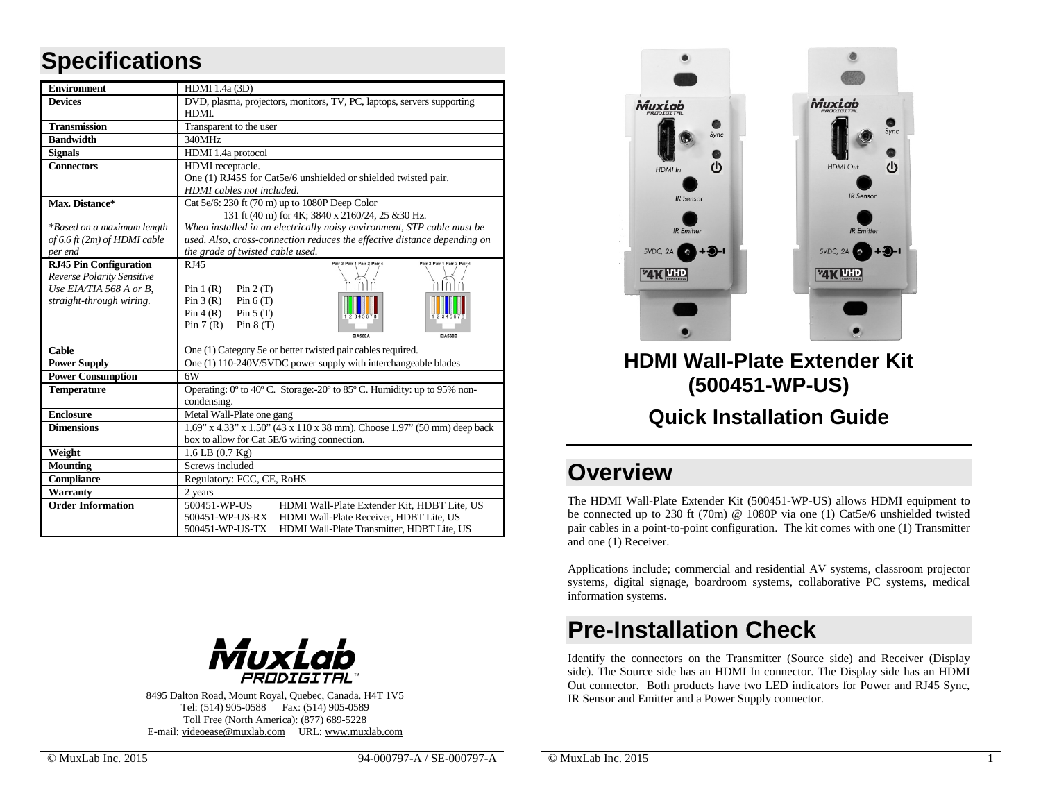## **Specifications**

| <b>Environment</b>             | HDMI 1.4a (3D)                                                           |  |  |  |
|--------------------------------|--------------------------------------------------------------------------|--|--|--|
| <b>Devices</b>                 | DVD, plasma, projectors, monitors, TV, PC, laptops, servers supporting   |  |  |  |
|                                | HDMI.                                                                    |  |  |  |
| <b>Transmission</b>            | Transparent to the user                                                  |  |  |  |
| <b>Bandwidth</b>               | 340MHz                                                                   |  |  |  |
| <b>Signals</b>                 | HDMI 1.4a protocol                                                       |  |  |  |
| <b>Connectors</b>              | HDMI receptacle.                                                         |  |  |  |
|                                | One (1) RJ45S for Cat5e/6 unshielded or shielded twisted pair.           |  |  |  |
|                                | HDMI cables not included.                                                |  |  |  |
| Max. Distance*                 | Cat 5e/6: 230 ft (70 m) up to 1080P Deep Color                           |  |  |  |
|                                | 131 ft (40 m) for 4K; 3840 x 2160/24, 25 & 30 Hz.                        |  |  |  |
| *Based on a maximum length     | When installed in an electrically noisy environment, STP cable must be   |  |  |  |
| of 6.6 ft $(2m)$ of HDMI cable | used. Also, cross-connection reduces the effective distance depending on |  |  |  |
| per end                        | the grade of twisted cable used.                                         |  |  |  |
| <b>RJ45 Pin Configuration</b>  | RJ45<br>Pair 3 Pair 1 Pair 2 Pair 4<br>Pair 2 Pair 1 Pair 3 Pair 4       |  |  |  |
| Reverse Polarity Sensitive     |                                                                          |  |  |  |
| Use EIA/TIA 568 A or B,        | Pin $1(R)$<br>Pin $2(T)$                                                 |  |  |  |
| straight-through wiring.       | Pin 3(R)<br>Pin $6(T)$                                                   |  |  |  |
|                                | Pin 4 (R)<br>Pin $5(T)$                                                  |  |  |  |
|                                | Pin 7(R)<br>Pin $8(T)$<br><b>EIA568A</b><br><b>EIA568B</b>               |  |  |  |
| Cable                          | One (1) Category 5e or better twisted pair cables required.              |  |  |  |
| <b>Power Supply</b>            | One (1) 110-240V/5VDC power supply with interchangeable blades           |  |  |  |
| <b>Power Consumption</b>       | 6W                                                                       |  |  |  |
| <b>Temperature</b>             | Operating: 0° to 40° C. Storage:-20° to 85° C. Humidity: up to 95% non-  |  |  |  |
|                                | condensing.                                                              |  |  |  |
| <b>Enclosure</b>               | Metal Wall-Plate one gang                                                |  |  |  |
| <b>Dimensions</b>              | 1.69" x 4.33" x 1.50" (43 x 110 x 38 mm). Choose 1.97" (50 mm) deep back |  |  |  |
|                                | box to allow for Cat 5E/6 wiring connection.                             |  |  |  |
| Weight                         | $1.6$ LB $(0.7$ Kg)                                                      |  |  |  |
| <b>Mounting</b>                | Screws included                                                          |  |  |  |
| <b>Compliance</b>              | Regulatory: FCC, CE, RoHS                                                |  |  |  |
| <b>Warranty</b>                | 2 years                                                                  |  |  |  |
| <b>Order Information</b>       | 500451-WP-US<br>HDMI Wall-Plate Extender Kit, HDBT Lite, US              |  |  |  |
|                                | HDMI Wall-Plate Receiver, HDBT Lite, US<br>500451-WP-US-RX               |  |  |  |
|                                | HDMI Wall-Plate Transmitter, HDBT Lite, US<br>500451-WP-US-TX            |  |  |  |



8495 Dalton Road, Mount Royal, Quebec, Canada. H4T 1V5 **IR Sensor and Emitter and a Power Supply connector**. Tel: (514) 905-0588 Fax: (514) 905-0589 Toll Free (North America): (877) 689-5228 E-mail[: videoease@muxlab.com](mailto:videoease@muxlab.com) URL[: www.muxlab.com](file:///%5C%5Cfreenas%5CData%5CR&D%5CPROJECT%5CODM%5CHPC%20Technology%5CMuxLab%20Product%5CM500451-WP%5CAppData%5CLocal%5CMicrosoft%5CWindows%5CTemporary%20Internet%20Files%5CContent.Outlook%5CAppData%5CLocal%5CMicrosoft%5CWindows%5CTemporary%20Internet%20Files%5CContent.Outlook%5CXJYHVDG2%5COriginal%20Documents%5Cwww.muxlab.com)



### **HDMI Wall-Plate Extender Kit (500451-WP-US)**

#### **Quick Installation Guide**

## **Overview**

The HDMI Wall-Plate Extender Kit (500451-WP-US) allows HDMI equipment to be connected up to 230 ft (70m) @ 1080P via one (1) Cat5e/6 unshielded twisted pair cables in a point-to-point configuration. The kit comes with one (1) Transmitter and one (1) Receiver.

Applications include; commercial and residential AV systems, classroom projector systems, digital signage, boardroom systems, collaborative PC systems, medical information systems.

## **Pre-Installation Check**

Identify the connectors on the Transmitter (Source side) and Receiver (Display side). The Source side has an HDMI In connector. The Display side has an HDMI Out connector. Both products have two LED indicators for Power and RJ45 Sync,